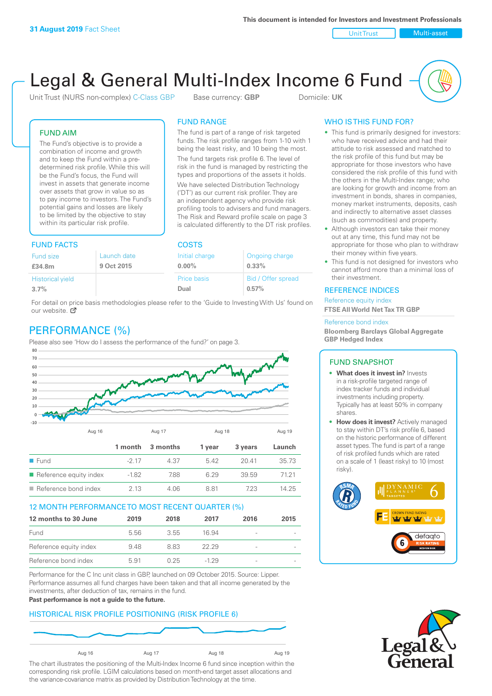Unit Trust Nulti-asset

# Legal & General Multi-Index Income 6 Fund

Unit Trust (NURS non-complex) C-Class GBP Base currency: **GBP** Domicile: UK

The fund is part of a range of risk targeted funds. The risk profile ranges from 1-10 with 1 being the least risky, and 10 being the most. The fund targets risk profile 6. The level of risk in the fund is managed by restricting the types and proportions of the assets it holds. We have selected Distribution Technology ('DT') as our current risk profiler. They are an independent agency who provide risk profiling tools to advisers and fund managers. The Risk and Reward profile scale on page 3 is calculated differently to the DT risk profiles.

FUND RANGE

## FUND AIM

The Fund's objective is to provide a combination of income and growth and to keep the Fund within a predetermined risk profile. While this will be the Fund's focus, the Fund will invest in assets that generate income over assets that grow in value so as to pay income to investors. The Fund's potential gains and losses are likely to be limited by the objective to stay within its particular risk profile.

## FUND FACTS COSTS

| .                       |             |                |                    |  |
|-------------------------|-------------|----------------|--------------------|--|
| <b>Fund size</b>        | Launch date | Initial charge | Ongoing charge     |  |
| £34.8m                  | 9 Oct 2015  | $0.00\%$       | $0.33\%$           |  |
| <b>Historical yield</b> |             | Price basis    | Bid / Offer spread |  |
| 3.7%                    |             | Dual           | 0.57%              |  |
|                         |             |                |                    |  |

For detail on price basis methodologies please refer to the 'Guide to Investing With Us' found on our website. Ø

# PERFORMANCE (%)

Please also see 'How do I assess the performance of the fund?' on page 3.



## 12 MONTH PERFORMANCE TO MOST RECENT QUARTER (%)

| 12 months to 30 June   | 2019 | 2018 | 2017   | 2016                     | 2015 |
|------------------------|------|------|--------|--------------------------|------|
| Fund                   | 556  | 3.55 | 16.94  |                          |      |
| Reference equity index | 9.48 | 8.83 | 22.29  | $\overline{\phantom{a}}$ |      |
| Reference bond index   | 5.91 | 0.25 | $-129$ | $\overline{\phantom{a}}$ |      |

Performance for the C Inc unit class in GBP, launched on 09 October 2015. Source: Lipper. Performance assumes all fund charges have been taken and that all income generated by the investments, after deduction of tax, remains in the fund.

#### **Past performance is not a guide to the future.**

## HISTORICAL RISK PROFILE POSITIONING (RISK PROFILE 6)



The chart illustrates the positioning of the Multi-Index Income 6 fund since inception within the corresponding risk profile. LGIM calculations based on month-end target asset allocations and the variance-covariance matrix as provided by Distribution Technology at the time.

## WHO IS THIS FUND FOR?

- This fund is primarily designed for investors: who have received advice and had their attitude to risk assessed and matched to the risk profile of this fund but may be appropriate for those investors who have considered the risk profile of this fund with the others in the Multi-Index range; who are looking for growth and income from an investment in bonds, shares in companies, money market instruments, deposits, cash and indirectly to alternative asset classes (such as commodities) and property.
- Although investors can take their money out at any time, this fund may not be appropriate for those who plan to withdraw their money within five years.
- This fund is not designed for investors who cannot afford more than a minimal loss of their investment.

## REFERENCE INDICES

Reference equity index **FTSE All World Net Tax TR GBP**

#### Reference bond index

**Bloomberg Barclays Global Aggregate GBP Hedged Index**

## FUND SNAPSHOT

- **• What does it invest in?** Invests in a risk-profile targeted range of index tracker funds and individual investments including property. Typically has at least 50% in company shares.
- **• How does it invest?** Actively managed to stay within DT's risk profile 6, based on the historic performance of different asset types. The fund is part of a range of risk profiled funds which are rated on a scale of 1 (least risky) to 10 (most risky).



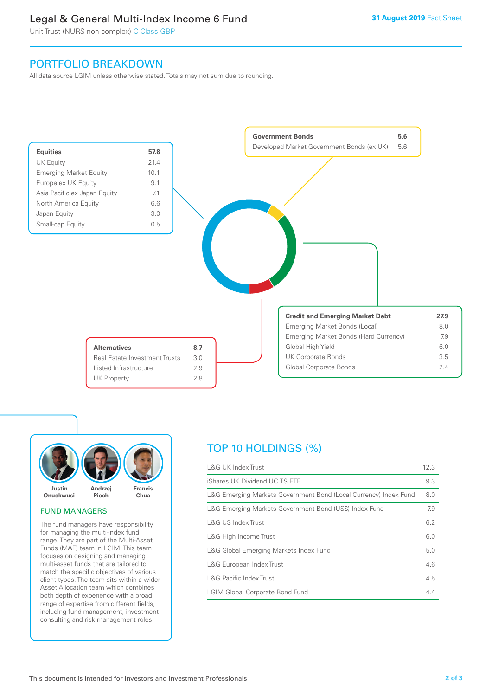# Legal & General Multi-Index Income 6 Fund

Unit Trust (NURS non-complex) C-Class GBP

# PORTFOLIO BREAKDOWN

All data source LGIM unless otherwise stated. Totals may not sum due to rounding.





## FUND MANAGERS

The fund managers have responsibility for managing the multi-index fund range. They are part of the Multi-Asset Funds (MAF) team in LGIM. This team focuses on designing and managing multi-asset funds that are tailored to match the specific objectives of various client types. The team sits within a wider Asset Allocation team which combines both depth of experience with a broad range of expertise from different fields, including fund management, investment consulting and risk management roles.

# TOP 10 HOLDINGS (%)

| <b>L&amp;G UK Index Trust</b>                                    | 12.3 |
|------------------------------------------------------------------|------|
| iShares UK Dividend UCITS ETF                                    | 9.3  |
| L&G Emerging Markets Government Bond (Local Currency) Index Fund | 8.0  |
| L&G Emerging Markets Government Bond (US\$) Index Fund           | 7.9  |
| <b>L&amp;G US Index Trust</b>                                    | 6.2  |
| L&G High Income Trust                                            | 6.0  |
| L&G Global Emerging Markets Index Fund                           | 5.0  |
| L&G European Index Trust                                         | 4.6  |
| <b>L&amp;G Pacific Index Trust</b>                               | 4.5  |
| <b>LGIM Global Corporate Bond Fund</b>                           | 4.4  |